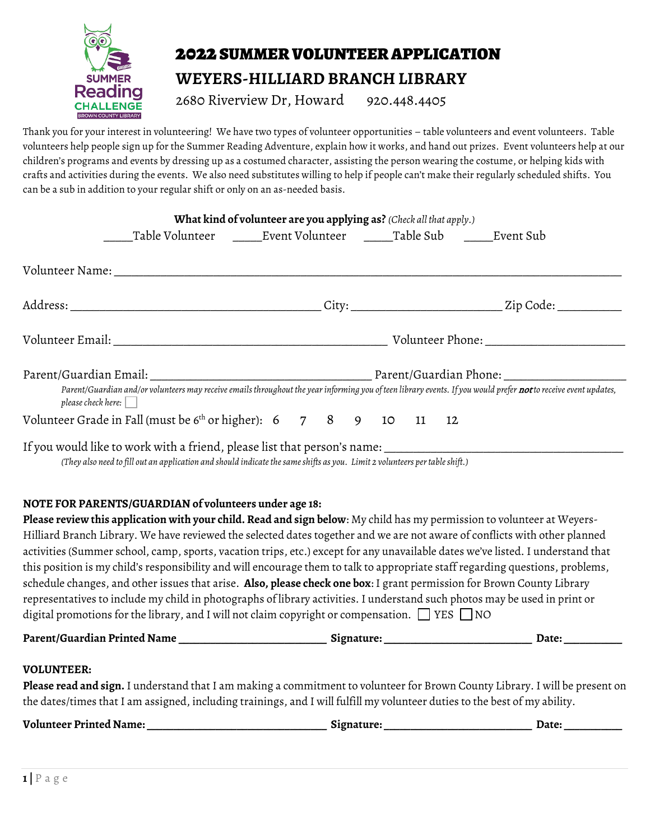

## 2022 SUMMER VOLUNTEER APPLICATION

# **WEYERS-HILLIARD BRANCH LIBRARY**

2680 Riverview Dr, Howard 920.448.4405

Thank you for your interest in volunteering! We have two types of volunteer opportunities – table volunteers and event volunteers. Table volunteers help people sign up for the Summer Reading Adventure, explain how it works, and hand out prizes. Event volunteers help at our children's programs and events by dressing up as a costumed character, assisting the person wearing the costume, or helping kids with crafts and activities during the events. We also need substitutes willing to help if people can't make their regularly scheduled shifts. You can be a sub in addition to your regular shift or only on an as-needed basis.

|                                                                   | What kind of volunteer are you applying as? (Check all that apply.)                                                         |  |  |  |                                                                                                                                                                         |
|-------------------------------------------------------------------|-----------------------------------------------------------------------------------------------------------------------------|--|--|--|-------------------------------------------------------------------------------------------------------------------------------------------------------------------------|
|                                                                   |                                                                                                                             |  |  |  |                                                                                                                                                                         |
|                                                                   |                                                                                                                             |  |  |  |                                                                                                                                                                         |
|                                                                   |                                                                                                                             |  |  |  |                                                                                                                                                                         |
|                                                                   |                                                                                                                             |  |  |  |                                                                                                                                                                         |
|                                                                   |                                                                                                                             |  |  |  |                                                                                                                                                                         |
| $p$ lease check here: $\vert$                                     |                                                                                                                             |  |  |  | Parent/Guardian and/or volunteers may receive emails throughout the year informing you of teen library events. If you would prefer <b>not</b> to receive event updates, |
| Volunteer Grade in Fall (must be 6th or higher): 6 7 8 9 10 11 12 |                                                                                                                             |  |  |  |                                                                                                                                                                         |
|                                                                   | (They also need to fill out an application and should indicate the same shifts as you. Limit 2 volunteers per table shift.) |  |  |  |                                                                                                                                                                         |

### **NOTE FOR PARENTS/GUARDIAN of volunteers under age 18:**

**Please review this application with your child. Read and sign below**: My child has my permission to volunteer at Weyers-Hilliard Branch Library. We have reviewed the selected dates together and we are not aware of conflicts with other planned activities (Summer school, camp, sports, vacation trips, etc.) except for any unavailable dates we've listed. I understand that this position is my child's responsibility and will encourage them to talk to appropriate staff regarding questions, problems, schedule changes, and other issues that arise. **Also, please check one box**: I grant permission for Brown County Library representatives to include my child in photographs of library activities. I understand such photos may be used in print or digital promotions for the library, and I will not claim copyright or compensation.  $\Box$  YES  $\Box$  NO

| Parent/Guardian Printed Name | Signature: | Date |
|------------------------------|------------|------|
|------------------------------|------------|------|

### **VOLUNTEER:**

**Please read and sign.** I understand that I am making a commitment to volunteer for Brown County Library. I will be present on the dates/times that I am assigned, including trainings, and I will fulfill my volunteer duties to the best of my ability.

| <b>Volunteer Printed Name:</b> | Signature: | Date <sup>.</sup> |
|--------------------------------|------------|-------------------|
|                                |            |                   |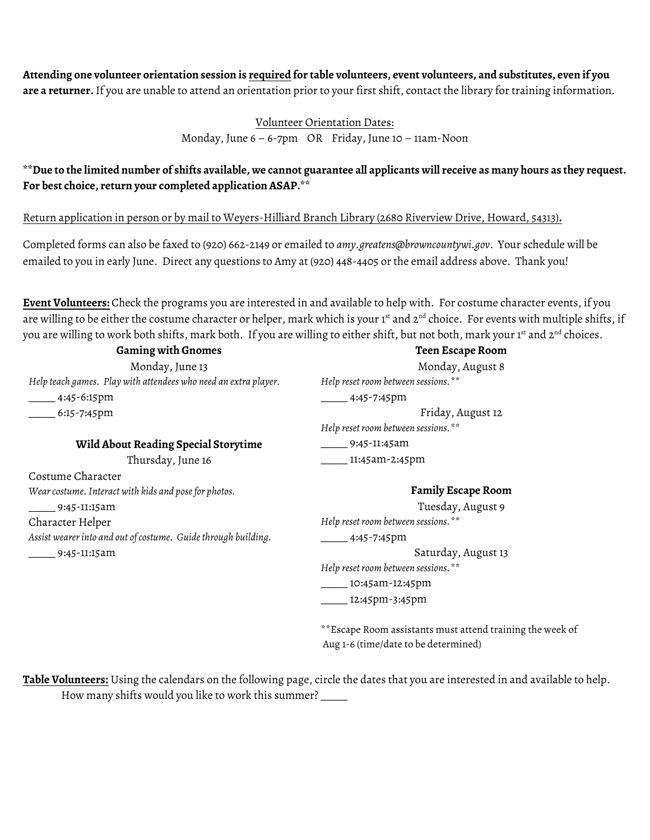**Attending one volunteer orientation session is required for table volunteers, event volunteers, and substitutes, even if you are a returner.** If you are unable to attend an orientation prior to your first shift, contact the library for training information.

Volunteer Orientation Dates:

Monday, June 6 – 6-7pm OR Friday, June 10 – 11am-Noon

## **\*\*Due to the limited number of shifts available, we cannot guarantee all applicants will receive as many hours as they request. For best choice, return your completed application ASAP.\*\***

Return application in person or by mail to Weyers-Hilliard Branch Library (2680 Riverview Drive, Howard, 54313)**.** 

Completed forms can also be faxed to (920) 662-2149 or emailed to *amy.greatens@browncountywi.gov*. Your schedule will be emailed to you in early June. Direct any questions to Amy at (920) 448-4405 or the email address above. Thank you!

**Event Volunteers:** Check the programs you are interested in and available to help with. For costume character events, if you are willing to be either the costume character or helper, mark which is your 1st and 2<sup>nd</sup> choice. For events with multiple shifts, if you are willing to work both shifts, mark both. If you are willing to either shift, but not both, mark your 1st and 2<sup>nd</sup> choices.

**Gaming with Gnomes** Monday, June 13 *Help teach games. Play with attendees who need an extra player.* \_\_\_\_\_ 4:45-6:15pm \_\_\_\_\_ 6:15-7:45pm **Wild About Reading Special Storytime** Thursday, June 16 Costume Character *Wear costume. Interact with kids and pose for photos.* \_\_\_\_\_ 9:45-11:15am Character Helper *Assist wearer into and out of costume. Guide through building.* \_\_\_\_\_ 9:45-11:15am **Teen Escape Room** Monday, August 8 *Help reset room between sessions.\*\**  $-$ 4:45-7:45pm Friday, August 12 *Help reset room between sessions.\*\** \_\_\_\_\_ 9:45-11:45am \_\_\_\_\_ 11:45am-2:45pm **Family Escape Room** Tuesday, August 9 *Help reset room between sessions.\*\**  $-$ 4:45-7:45pm Saturday, August 13 *Help reset room between sessions.\*\** \_\_\_\_\_ 10:45am-12:45pm \_\_\_\_\_ 12:45pm-3:45pm

> \*\*Escape Room assistants must attend training the week of Aug 1-6 (time/date to be determined)

**Table Volunteers:** Using the calendars on the following page, circle the dates that you are interested in and available to help. How many shifts would you like to work this summer? \_\_\_\_\_